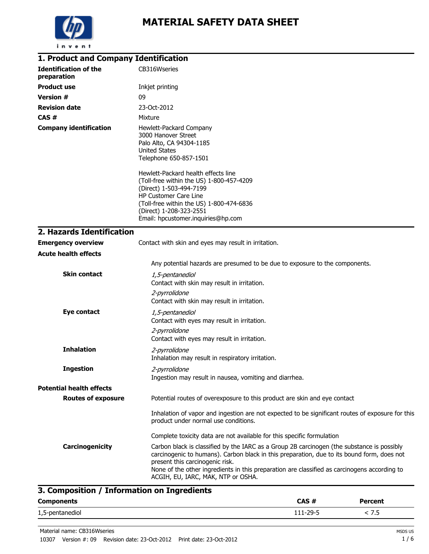

| 1. Product and Company Identification       |                                                                                                                                                                                                                                                                                                                                                                   |
|---------------------------------------------|-------------------------------------------------------------------------------------------------------------------------------------------------------------------------------------------------------------------------------------------------------------------------------------------------------------------------------------------------------------------|
| <b>Identification of the</b><br>preparation | CB316Wseries                                                                                                                                                                                                                                                                                                                                                      |
| <b>Product use</b>                          | Inkjet printing                                                                                                                                                                                                                                                                                                                                                   |
| <b>Version #</b>                            | 09                                                                                                                                                                                                                                                                                                                                                                |
| <b>Revision date</b>                        | 23-Oct-2012                                                                                                                                                                                                                                                                                                                                                       |
| CAS#                                        | Mixture                                                                                                                                                                                                                                                                                                                                                           |
| <b>Company identification</b>               | Hewlett-Packard Company<br>3000 Hanover Street<br>Palo Alto, CA 94304-1185<br><b>United States</b><br>Telephone 650-857-1501                                                                                                                                                                                                                                      |
|                                             | Hewlett-Packard health effects line<br>(Toll-free within the US) 1-800-457-4209<br>(Direct) 1-503-494-7199<br>HP Customer Care Line<br>(Toll-free within the US) 1-800-474-6836<br>(Direct) 1-208-323-2551                                                                                                                                                        |
|                                             | Email: hpcustomer.inquiries@hp.com                                                                                                                                                                                                                                                                                                                                |
| 2. Hazards Identification                   |                                                                                                                                                                                                                                                                                                                                                                   |
| <b>Emergency overview</b>                   | Contact with skin and eyes may result in irritation.                                                                                                                                                                                                                                                                                                              |
| <b>Acute health effects</b>                 |                                                                                                                                                                                                                                                                                                                                                                   |
|                                             | Any potential hazards are presumed to be due to exposure to the components.                                                                                                                                                                                                                                                                                       |
| <b>Skin contact</b>                         | 1,5-pentanediol<br>Contact with skin may result in irritation.                                                                                                                                                                                                                                                                                                    |
|                                             | 2-pyrrolidone<br>Contact with skin may result in irritation.                                                                                                                                                                                                                                                                                                      |
| <b>Eye contact</b>                          | 1,5-pentanediol<br>Contact with eyes may result in irritation.                                                                                                                                                                                                                                                                                                    |
|                                             | 2-pyrrolidone<br>Contact with eyes may result in irritation.                                                                                                                                                                                                                                                                                                      |
| <b>Inhalation</b>                           | 2-pyrrolidone<br>Inhalation may result in respiratory irritation.                                                                                                                                                                                                                                                                                                 |
| <b>Ingestion</b>                            | 2-pyrrolidone<br>Ingestion may result in nausea, vomiting and diarrhea.                                                                                                                                                                                                                                                                                           |
| <b>Potential health effects</b>             |                                                                                                                                                                                                                                                                                                                                                                   |
| <b>Routes of exposure</b>                   | Potential routes of overexposure to this product are skin and eye contact                                                                                                                                                                                                                                                                                         |
|                                             | Inhalation of vapor and ingestion are not expected to be significant routes of exposure for this<br>product under normal use conditions.                                                                                                                                                                                                                          |
|                                             | Complete toxicity data are not available for this specific formulation                                                                                                                                                                                                                                                                                            |
| Carcinogenicity                             | Carbon black is classified by the IARC as a Group 2B carcinogen (the substance is possibly<br>carcinogenic to humans). Carbon black in this preparation, due to its bound form, does not<br>present this carcinogenic risk.<br>None of the other ingredients in this preparation are classified as carcinogens according to<br>ACGIH, EU, IARC, MAK, NTP or OSHA. |

# **3. Composition / Information on Ingredients**

| <b>Components</b> | CAS#     | <b>Percent</b> |  |
|-------------------|----------|----------------|--|
| 1,5-pentanediol   | 111-29-5 | 7.5            |  |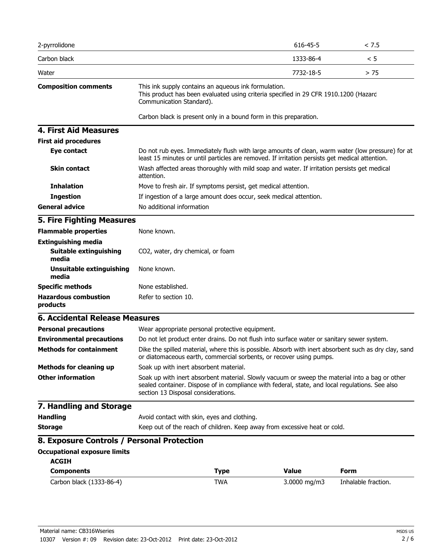| <b>Occupational exposure limits</b><br><b>ACGIH</b><br><b>Components</b><br>Carbon black (1333-86-4) | Keep out of the reach of children. Keep away from excessive heat or cold.<br>8. Exposure Controls / Personal Protection | <b>Type</b><br><b>TWA</b> | <b>Value</b><br>3.0000 mg/m3                                                                    | <b>Form</b><br>Inhalable fraction.                                                                    |
|------------------------------------------------------------------------------------------------------|-------------------------------------------------------------------------------------------------------------------------|---------------------------|-------------------------------------------------------------------------------------------------|-------------------------------------------------------------------------------------------------------|
|                                                                                                      |                                                                                                                         |                           |                                                                                                 |                                                                                                       |
|                                                                                                      |                                                                                                                         |                           |                                                                                                 |                                                                                                       |
|                                                                                                      |                                                                                                                         |                           |                                                                                                 |                                                                                                       |
|                                                                                                      |                                                                                                                         |                           |                                                                                                 |                                                                                                       |
| <b>Storage</b>                                                                                       |                                                                                                                         |                           |                                                                                                 |                                                                                                       |
| <b>Handling</b>                                                                                      | Avoid contact with skin, eyes and clothing.                                                                             |                           |                                                                                                 |                                                                                                       |
| 7. Handling and Storage                                                                              | section 13 Disposal considerations.                                                                                     |                           |                                                                                                 |                                                                                                       |
| <b>Other information</b>                                                                             |                                                                                                                         |                           | sealed container. Dispose of in compliance with federal, state, and local regulations. See also | Soak up with inert absorbent material. Slowly vacuum or sweep the material into a bag or other        |
| <b>Methods for cleaning up</b>                                                                       | Soak up with inert absorbent material.                                                                                  |                           |                                                                                                 |                                                                                                       |
| <b>Methods for containment</b>                                                                       |                                                                                                                         |                           | or diatomaceous earth, commercial sorbents, or recover using pumps.                             | Dike the spilled material, where this is possible. Absorb with inert absorbent such as dry clay, sand |
| <b>Environmental precautions</b>                                                                     |                                                                                                                         |                           | Do not let product enter drains. Do not flush into surface water or sanitary sewer system.      |                                                                                                       |
| <b>Personal precautions</b>                                                                          | Wear appropriate personal protective equipment.                                                                         |                           |                                                                                                 |                                                                                                       |
| <b>6. Accidental Release Measures</b>                                                                |                                                                                                                         |                           |                                                                                                 |                                                                                                       |
| products                                                                                             |                                                                                                                         |                           |                                                                                                 |                                                                                                       |
| <b>Hazardous combustion</b>                                                                          | Refer to section 10.                                                                                                    |                           |                                                                                                 |                                                                                                       |
| <b>Specific methods</b>                                                                              | None established.                                                                                                       |                           |                                                                                                 |                                                                                                       |
| <b>Unsuitable extinguishing</b><br>media                                                             | None known.                                                                                                             |                           |                                                                                                 |                                                                                                       |
| Suitable extinguishing<br>media                                                                      | CO2, water, dry chemical, or foam                                                                                       |                           |                                                                                                 |                                                                                                       |
| <b>Extinguishing media</b>                                                                           |                                                                                                                         |                           |                                                                                                 |                                                                                                       |
| <b>Flammable properties</b>                                                                          | None known.                                                                                                             |                           |                                                                                                 |                                                                                                       |
| <b>5. Fire Fighting Measures</b>                                                                     |                                                                                                                         |                           |                                                                                                 |                                                                                                       |
| <b>General advice</b>                                                                                | No additional information                                                                                               |                           |                                                                                                 |                                                                                                       |
| <b>Ingestion</b>                                                                                     | If ingestion of a large amount does occur, seek medical attention.                                                      |                           |                                                                                                 |                                                                                                       |
| <b>Inhalation</b>                                                                                    | Move to fresh air. If symptoms persist, get medical attention.                                                          |                           |                                                                                                 |                                                                                                       |
| <b>Skin contact</b>                                                                                  | attention.                                                                                                              |                           | Wash affected areas thoroughly with mild soap and water. If irritation persists get medical     |                                                                                                       |
| <b>First aid procedures</b><br>Eye contact                                                           |                                                                                                                         |                           | least 15 minutes or until particles are removed. If irritation persists get medical attention.  | Do not rub eyes. Immediately flush with large amounts of clean, warm water (low pressure) for at      |
|                                                                                                      |                                                                                                                         |                           |                                                                                                 |                                                                                                       |
| <b>4. First Aid Measures</b>                                                                         | Carbon black is present only in a bound form in this preparation.                                                       |                           |                                                                                                 |                                                                                                       |
|                                                                                                      | Communication Standard).                                                                                                |                           | This product has been evaluated using criteria specified in 29 CFR 1910.1200 (Hazard            |                                                                                                       |
| <b>Composition comments</b>                                                                          | This ink supply contains an aqueous ink formulation.                                                                    |                           |                                                                                                 |                                                                                                       |
| Water                                                                                                |                                                                                                                         |                           | 7732-18-5                                                                                       | > 75                                                                                                  |
| Carbon black                                                                                         |                                                                                                                         |                           | 1333-86-4                                                                                       | < 5                                                                                                   |
| 2-pyrrolidone                                                                                        |                                                                                                                         |                           | 616-45-5                                                                                        | < 7.5                                                                                                 |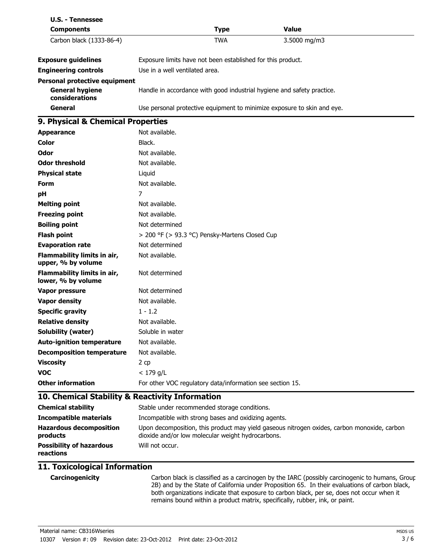| <b>U.S. - Tennessee</b><br><b>Components</b>      | <b>Type</b>                                                             | <b>Value</b>                                                                                |
|---------------------------------------------------|-------------------------------------------------------------------------|---------------------------------------------------------------------------------------------|
| Carbon black (1333-86-4)                          | <b>TWA</b>                                                              | 3.5000 mg/m3                                                                                |
|                                                   |                                                                         |                                                                                             |
| <b>Exposure guidelines</b>                        | Exposure limits have not been established for this product.             |                                                                                             |
| <b>Engineering controls</b>                       | Use in a well ventilated area.                                          |                                                                                             |
| <b>Personal protective equipment</b>              |                                                                         |                                                                                             |
| <b>General hygiene</b><br>considerations          | Handle in accordance with good industrial hygiene and safety practice.  |                                                                                             |
| General                                           | Use personal protective equipment to minimize exposure to skin and eye. |                                                                                             |
| 9. Physical & Chemical Properties                 |                                                                         |                                                                                             |
| <b>Appearance</b>                                 | Not available.                                                          |                                                                                             |
| <b>Color</b>                                      | Black.                                                                  |                                                                                             |
| Odor                                              | Not available.                                                          |                                                                                             |
| <b>Odor threshold</b>                             | Not available.                                                          |                                                                                             |
| <b>Physical state</b>                             | Liquid                                                                  |                                                                                             |
| Form                                              | Not available.                                                          |                                                                                             |
| рH                                                | 7                                                                       |                                                                                             |
| <b>Melting point</b>                              | Not available.                                                          |                                                                                             |
| <b>Freezing point</b>                             | Not available.                                                          |                                                                                             |
| <b>Boiling point</b>                              | Not determined                                                          |                                                                                             |
| <b>Flash point</b>                                | > 200 °F (> 93.3 °C) Pensky-Martens Closed Cup                          |                                                                                             |
| <b>Evaporation rate</b>                           | Not determined                                                          |                                                                                             |
| Flammability limits in air,<br>upper, % by volume | Not available.                                                          |                                                                                             |
| Flammability limits in air,<br>lower, % by volume | Not determined                                                          |                                                                                             |
| <b>Vapor pressure</b>                             | Not determined                                                          |                                                                                             |
| <b>Vapor density</b>                              | Not available.                                                          |                                                                                             |
| <b>Specific gravity</b>                           | $1 - 1.2$                                                               |                                                                                             |
| <b>Relative density</b>                           | Not available.                                                          |                                                                                             |
| Solubility (water)                                | Soluble in water                                                        |                                                                                             |
| <b>Auto-ignition temperature</b>                  | Not available.                                                          |                                                                                             |
| <b>Decomposition temperature</b>                  | Not available.                                                          |                                                                                             |
| <b>Viscosity</b>                                  | 2 cp                                                                    |                                                                                             |
| <b>VOC</b>                                        | $< 179$ g/L                                                             |                                                                                             |
| <b>Other information</b>                          | For other VOC regulatory data/information see section 15.               |                                                                                             |
| 10. Chemical Stability & Reactivity Information   |                                                                         |                                                                                             |
| <b>Chemical stability</b>                         | Stable under recommended storage conditions.                            |                                                                                             |
| <b>Incompatible materials</b>                     | Incompatible with strong bases and oxidizing agents.                    |                                                                                             |
| <b>Hazardous decomposition</b><br>products        | dioxide and/or low molecular weight hydrocarbons.                       | Upon decomposition, this product may yield gaseous nitrogen oxides, carbon monoxide, carbon |
| <b>Possibility of hazardous</b><br>reactions      | Will not occur.                                                         |                                                                                             |

## **11. Toxicological Information**

**Carcinogenicity** Carbon black is classified as a carcinogen by the IARC (possibly carcinogenic to humans, Group 2B) and by the State of California under Proposition 65. In their evaluations of carbon black, both organizations indicate that exposure to carbon black, per se, does not occur when it remains bound within a product matrix, specifically, rubber, ink, or paint.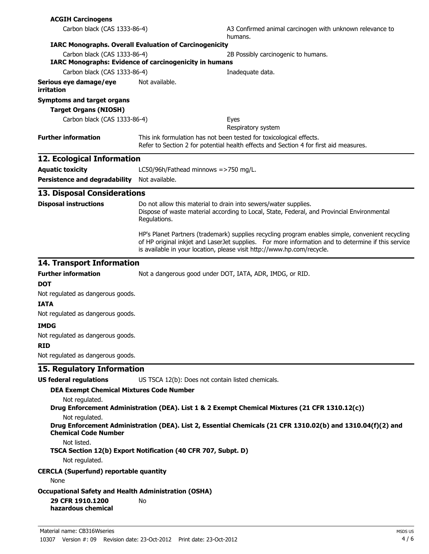| <b>ACGIH Carcinogens</b>                                                                              |                                                                                                                                                              |                                                                                                                                                                                                                                                                                  |  |
|-------------------------------------------------------------------------------------------------------|--------------------------------------------------------------------------------------------------------------------------------------------------------------|----------------------------------------------------------------------------------------------------------------------------------------------------------------------------------------------------------------------------------------------------------------------------------|--|
| Carbon black (CAS 1333-86-4)                                                                          |                                                                                                                                                              | A3 Confirmed animal carcinogen with unknown relevance to<br>humans.                                                                                                                                                                                                              |  |
| <b>IARC Monographs. Overall Evaluation of Carcinogenicity</b>                                         |                                                                                                                                                              |                                                                                                                                                                                                                                                                                  |  |
| Carbon black (CAS 1333-86-4)<br><b>IARC Monographs: Evidence of carcinogenicity in humans</b>         |                                                                                                                                                              | 2B Possibly carcinogenic to humans.                                                                                                                                                                                                                                              |  |
| Carbon black (CAS 1333-86-4)                                                                          |                                                                                                                                                              | Inadequate data.                                                                                                                                                                                                                                                                 |  |
| Serious eye damage/eye<br>irritation                                                                  | Not available.                                                                                                                                               |                                                                                                                                                                                                                                                                                  |  |
| <b>Symptoms and target organs</b>                                                                     |                                                                                                                                                              |                                                                                                                                                                                                                                                                                  |  |
| <b>Target Organs (NIOSH)</b>                                                                          |                                                                                                                                                              |                                                                                                                                                                                                                                                                                  |  |
| Carbon black (CAS 1333-86-4)                                                                          |                                                                                                                                                              | Eyes<br>Respiratory system                                                                                                                                                                                                                                                       |  |
| <b>Further information</b>                                                                            | This ink formulation has not been tested for toxicological effects.<br>Refer to Section 2 for potential health effects and Section 4 for first aid measures. |                                                                                                                                                                                                                                                                                  |  |
| 12. Ecological Information                                                                            |                                                                                                                                                              |                                                                                                                                                                                                                                                                                  |  |
| <b>Aquatic toxicity</b>                                                                               | LC50/96h/Fathead minnows =>750 mg/L.                                                                                                                         |                                                                                                                                                                                                                                                                                  |  |
| Persistence and degradability Not available.                                                          |                                                                                                                                                              |                                                                                                                                                                                                                                                                                  |  |
|                                                                                                       |                                                                                                                                                              |                                                                                                                                                                                                                                                                                  |  |
| <b>13. Disposal Considerations</b>                                                                    |                                                                                                                                                              |                                                                                                                                                                                                                                                                                  |  |
| <b>Disposal instructions</b>                                                                          | Regulations.                                                                                                                                                 | Do not allow this material to drain into sewers/water supplies.<br>Dispose of waste material according to Local, State, Federal, and Provincial Environmental                                                                                                                    |  |
|                                                                                                       |                                                                                                                                                              | HP's Planet Partners (trademark) supplies recycling program enables simple, convenient recycling<br>of HP original inkjet and LaserJet supplies. For more information and to determine if this service<br>is available in your location, please visit http://www.hp.com/recycle. |  |
| <b>14. Transport Information</b>                                                                      |                                                                                                                                                              |                                                                                                                                                                                                                                                                                  |  |
| <b>Further information</b>                                                                            | Not a dangerous good under DOT, IATA, ADR, IMDG, or RID.                                                                                                     |                                                                                                                                                                                                                                                                                  |  |
| <b>DOT</b>                                                                                            |                                                                                                                                                              |                                                                                                                                                                                                                                                                                  |  |
| Not regulated as dangerous goods.                                                                     |                                                                                                                                                              |                                                                                                                                                                                                                                                                                  |  |
| <b>IATA</b>                                                                                           |                                                                                                                                                              |                                                                                                                                                                                                                                                                                  |  |
| Not regulated as dangerous goods.                                                                     |                                                                                                                                                              |                                                                                                                                                                                                                                                                                  |  |
| <b>IMDG</b>                                                                                           |                                                                                                                                                              |                                                                                                                                                                                                                                                                                  |  |
| Not regulated as dangerous goods.                                                                     |                                                                                                                                                              |                                                                                                                                                                                                                                                                                  |  |
| <b>RID</b><br>Not regulated as dangerous goods.                                                       |                                                                                                                                                              |                                                                                                                                                                                                                                                                                  |  |
|                                                                                                       |                                                                                                                                                              |                                                                                                                                                                                                                                                                                  |  |
| 15. Regulatory Information                                                                            |                                                                                                                                                              |                                                                                                                                                                                                                                                                                  |  |
| <b>US federal regulations</b>                                                                         | US TSCA 12(b): Does not contain listed chemicals.                                                                                                            |                                                                                                                                                                                                                                                                                  |  |
| <b>DEA Exempt Chemical Mixtures Code Number</b><br>Not regulated.                                     |                                                                                                                                                              | Drug Enforcement Administration (DEA). List 1 & 2 Exempt Chemical Mixtures (21 CFR 1310.12(c))                                                                                                                                                                                   |  |
| Not regulated.                                                                                        |                                                                                                                                                              |                                                                                                                                                                                                                                                                                  |  |
| <b>Chemical Code Number</b>                                                                           |                                                                                                                                                              | Drug Enforcement Administration (DEA). List 2, Essential Chemicals (21 CFR 1310.02(b) and 1310.04(f)(2) and                                                                                                                                                                      |  |
| Not listed.                                                                                           | TSCA Section 12(b) Export Notification (40 CFR 707, Subpt. D)                                                                                                |                                                                                                                                                                                                                                                                                  |  |
| Not regulated.                                                                                        |                                                                                                                                                              |                                                                                                                                                                                                                                                                                  |  |
| <b>CERCLA (Superfund) reportable quantity</b><br>None                                                 |                                                                                                                                                              |                                                                                                                                                                                                                                                                                  |  |
| <b>Occupational Safety and Health Administration (OSHA)</b><br>29 CFR 1910.1200<br>hazardous chemical | No                                                                                                                                                           |                                                                                                                                                                                                                                                                                  |  |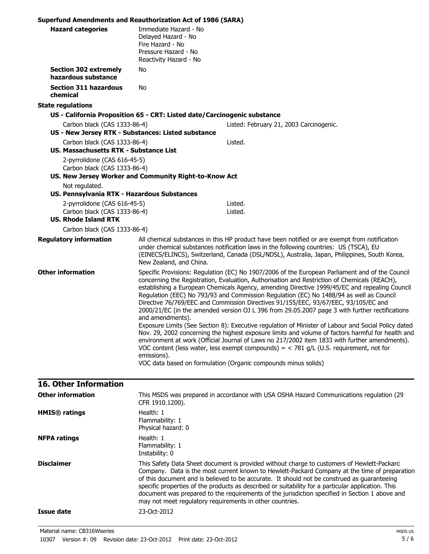| <b>Superfund Amendments and Reauthorization Act of 1986 (SARA)</b>                          |                                                                                                                    |                                                                                                                                                                                                                                                                                                                                                                                                                                                                                                                                                                                                                                                                                                                                                                                                                                                                                                                                                                                                                                                                 |
|---------------------------------------------------------------------------------------------|--------------------------------------------------------------------------------------------------------------------|-----------------------------------------------------------------------------------------------------------------------------------------------------------------------------------------------------------------------------------------------------------------------------------------------------------------------------------------------------------------------------------------------------------------------------------------------------------------------------------------------------------------------------------------------------------------------------------------------------------------------------------------------------------------------------------------------------------------------------------------------------------------------------------------------------------------------------------------------------------------------------------------------------------------------------------------------------------------------------------------------------------------------------------------------------------------|
| <b>Hazard categories</b>                                                                    | Immediate Hazard - No<br>Delayed Hazard - No<br>Fire Hazard - No<br>Pressure Hazard - No<br>Reactivity Hazard - No |                                                                                                                                                                                                                                                                                                                                                                                                                                                                                                                                                                                                                                                                                                                                                                                                                                                                                                                                                                                                                                                                 |
| <b>Section 302 extremely</b><br>hazardous substance                                         | No                                                                                                                 |                                                                                                                                                                                                                                                                                                                                                                                                                                                                                                                                                                                                                                                                                                                                                                                                                                                                                                                                                                                                                                                                 |
| <b>Section 311 hazardous</b><br>chemical                                                    | No                                                                                                                 |                                                                                                                                                                                                                                                                                                                                                                                                                                                                                                                                                                                                                                                                                                                                                                                                                                                                                                                                                                                                                                                                 |
| <b>State regulations</b>                                                                    |                                                                                                                    |                                                                                                                                                                                                                                                                                                                                                                                                                                                                                                                                                                                                                                                                                                                                                                                                                                                                                                                                                                                                                                                                 |
|                                                                                             | US - California Proposition 65 - CRT: Listed date/Carcinogenic substance                                           |                                                                                                                                                                                                                                                                                                                                                                                                                                                                                                                                                                                                                                                                                                                                                                                                                                                                                                                                                                                                                                                                 |
| Carbon black (CAS 1333-86-4)                                                                |                                                                                                                    | Listed: February 21, 2003 Carcinogenic.                                                                                                                                                                                                                                                                                                                                                                                                                                                                                                                                                                                                                                                                                                                                                                                                                                                                                                                                                                                                                         |
| US - New Jersey RTK - Substances: Listed substance                                          |                                                                                                                    |                                                                                                                                                                                                                                                                                                                                                                                                                                                                                                                                                                                                                                                                                                                                                                                                                                                                                                                                                                                                                                                                 |
| Carbon black (CAS 1333-86-4)                                                                |                                                                                                                    | Listed.                                                                                                                                                                                                                                                                                                                                                                                                                                                                                                                                                                                                                                                                                                                                                                                                                                                                                                                                                                                                                                                         |
| US. Massachusetts RTK - Substance List                                                      |                                                                                                                    |                                                                                                                                                                                                                                                                                                                                                                                                                                                                                                                                                                                                                                                                                                                                                                                                                                                                                                                                                                                                                                                                 |
| 2-pyrrolidone (CAS 616-45-5)<br>Carbon black (CAS 1333-86-4)                                | US. New Jersey Worker and Community Right-to-Know Act                                                              |                                                                                                                                                                                                                                                                                                                                                                                                                                                                                                                                                                                                                                                                                                                                                                                                                                                                                                                                                                                                                                                                 |
| Not regulated.                                                                              |                                                                                                                    |                                                                                                                                                                                                                                                                                                                                                                                                                                                                                                                                                                                                                                                                                                                                                                                                                                                                                                                                                                                                                                                                 |
| US. Pennsylvania RTK - Hazardous Substances                                                 |                                                                                                                    |                                                                                                                                                                                                                                                                                                                                                                                                                                                                                                                                                                                                                                                                                                                                                                                                                                                                                                                                                                                                                                                                 |
| 2-pyrrolidone (CAS 616-45-5)<br>Carbon black (CAS 1333-86-4)<br><b>US. Rhode Island RTK</b> |                                                                                                                    | Listed.<br>Listed.                                                                                                                                                                                                                                                                                                                                                                                                                                                                                                                                                                                                                                                                                                                                                                                                                                                                                                                                                                                                                                              |
| Carbon black (CAS 1333-86-4)                                                                |                                                                                                                    |                                                                                                                                                                                                                                                                                                                                                                                                                                                                                                                                                                                                                                                                                                                                                                                                                                                                                                                                                                                                                                                                 |
| <b>Regulatory information</b>                                                               | New Zealand, and China.                                                                                            | All chemical substances in this HP product have been notified or are exempt from notification<br>under chemical substances notification laws in the following countries: US (TSCA), EU<br>(EINECS/ELINCS), Switzerland, Canada (DSL/NDSL), Australia, Japan, Philippines, South Korea,                                                                                                                                                                                                                                                                                                                                                                                                                                                                                                                                                                                                                                                                                                                                                                          |
| <b>Other information</b>                                                                    | and amendments).<br>emissions).                                                                                    | Specific Provisions: Regulation (EC) No 1907/2006 of the European Parliament and of the Council<br>concerning the Registration, Evaluation, Authorisation and Restriction of Chemicals (REACH),<br>establishing a European Chemicals Agency, amending Directive 1999/45/EC and repealing Council<br>Regulation (EEC) No 793/93 and Commission Regulation (EC) No 1488/94 as well as Council<br>Directive 76/769/EEC and Commission Directives 91/155/EEC, 93/67/EEC, 93/105/EC and<br>2000/21/EC (in the amended version OJ L 396 from 29.05.2007 page 3 with further rectifications<br>Exposure Limits (See Section 8): Executive regulation of Minister of Labour and Social Policy dated<br>Nov. 29, 2002 concerning the highest exposure limits and volume of factors harmful for health and<br>environment at work (Official Journal of Laws no 217/2002 item 1833 with further amendments).<br>VOC content (less water, less exempt compounds) = $<$ 781 g/L (U.S. requirement, not for<br>VOC data based on formulation (Organic compounds minus solids) |

# **16. Other Information**

| <b>Other information</b> | This MSDS was prepared in accordance with USA OSHA Hazard Communications regulation (29<br>CFR 1910.1200).                                                                                                                                                                                                                                                                                                                                                                                                                                                     |
|--------------------------|----------------------------------------------------------------------------------------------------------------------------------------------------------------------------------------------------------------------------------------------------------------------------------------------------------------------------------------------------------------------------------------------------------------------------------------------------------------------------------------------------------------------------------------------------------------|
| <b>HMIS®</b> ratings     | Health: 1<br>Flammability: 1<br>Physical hazard: 0                                                                                                                                                                                                                                                                                                                                                                                                                                                                                                             |
| <b>NFPA ratings</b>      | Health: 1<br>Flammability: 1<br>Instability: 0                                                                                                                                                                                                                                                                                                                                                                                                                                                                                                                 |
| <b>Disclaimer</b>        | This Safety Data Sheet document is provided without charge to customers of Hewlett-Packard<br>Company. Data is the most current known to Hewlett-Packard Company at the time of preparation<br>of this document and is believed to be accurate. It should not be construed as quaranteeing<br>specific properties of the products as described or suitability for a particular application. This<br>document was prepared to the requirements of the jurisdiction specified in Section 1 above and<br>may not meet regulatory requirements in other countries. |
| Issue date               | 23-Oct-2012                                                                                                                                                                                                                                                                                                                                                                                                                                                                                                                                                    |